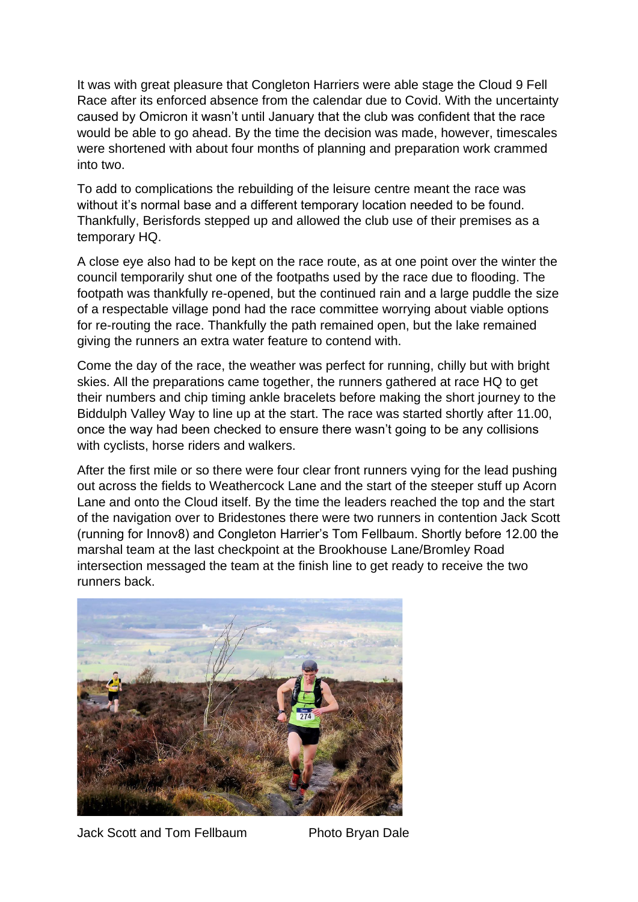It was with great pleasure that Congleton Harriers were able stage the Cloud 9 Fell Race after its enforced absence from the calendar due to Covid. With the uncertainty caused by Omicron it wasn't until January that the club was confident that the race would be able to go ahead. By the time the decision was made, however, timescales were shortened with about four months of planning and preparation work crammed into two.

To add to complications the rebuilding of the leisure centre meant the race was without it's normal base and a different temporary location needed to be found. Thankfully, Berisfords stepped up and allowed the club use of their premises as a temporary HQ.

A close eye also had to be kept on the race route, as at one point over the winter the council temporarily shut one of the footpaths used by the race due to flooding. The footpath was thankfully re-opened, but the continued rain and a large puddle the size of a respectable village pond had the race committee worrying about viable options for re-routing the race. Thankfully the path remained open, but the lake remained giving the runners an extra water feature to contend with.

Come the day of the race, the weather was perfect for running, chilly but with bright skies. All the preparations came together, the runners gathered at race HQ to get their numbers and chip timing ankle bracelets before making the short journey to the Biddulph Valley Way to line up at the start. The race was started shortly after 11.00, once the way had been checked to ensure there wasn't going to be any collisions with cyclists, horse riders and walkers.

After the first mile or so there were four clear front runners vying for the lead pushing out across the fields to Weathercock Lane and the start of the steeper stuff up Acorn Lane and onto the Cloud itself. By the time the leaders reached the top and the start of the navigation over to Bridestones there were two runners in contention Jack Scott (running for Innov8) and Congleton Harrier's Tom Fellbaum. Shortly before 12.00 the marshal team at the last checkpoint at the Brookhouse Lane/Bromley Road intersection messaged the team at the finish line to get ready to receive the two runners back.



Jack Scott and Tom Fellbaum Photo Bryan Dale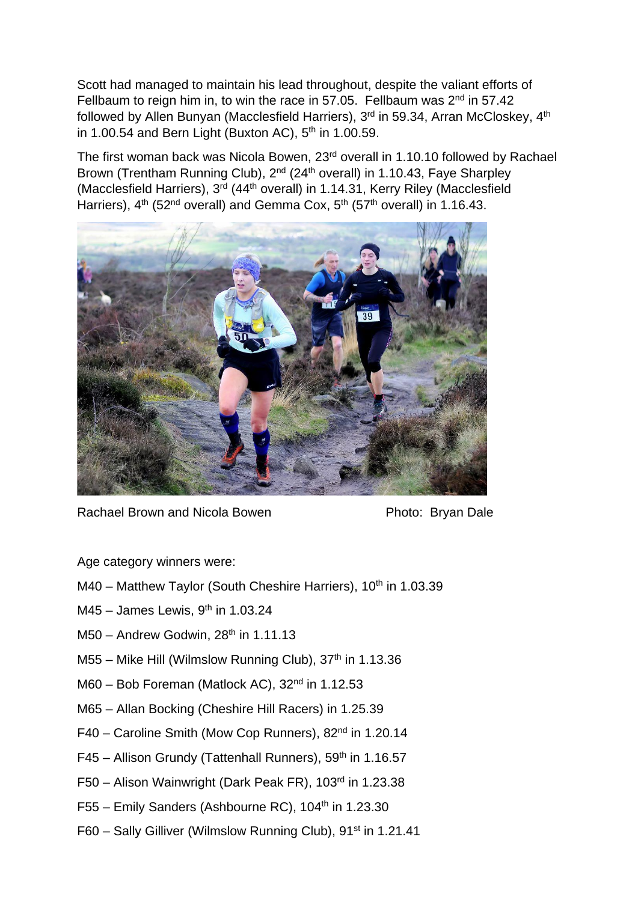Scott had managed to maintain his lead throughout, despite the valiant efforts of Fellbaum to reign him in, to win the race in 57.05. Fellbaum was  $2<sup>nd</sup>$  in 57.42 followed by Allen Bunyan (Macclesfield Harriers), 3<sup>rd</sup> in 59.34, Arran McCloskey, 4<sup>th</sup> in 1.00.54 and Bern Light (Buxton AC),  $5<sup>th</sup>$  in 1.00.59.

The first woman back was Nicola Bowen, 23rd overall in 1.10.10 followed by Rachael Brown (Trentham Running Club), 2<sup>nd</sup> (24<sup>th</sup> overall) in 1.10.43, Faye Sharpley (Macclesfield Harriers), 3rd (44th overall) in 1.14.31, Kerry Riley (Macclesfield Harriers),  $4<sup>th</sup>$  (52<sup>nd</sup> overall) and Gemma Cox,  $5<sup>th</sup>$  (57<sup>th</sup> overall) in 1.16.43.



Rachael Brown and Nicola Bowen **Photo: Bryan Dale** 

Age category winners were:

- M40 Matthew Taylor (South Cheshire Harriers), 10<sup>th</sup> in 1.03.39
- $M45 -$  James Lewis, 9<sup>th</sup> in 1.03.24
- $M50 -$  Andrew Godwin, 28<sup>th</sup> in 1.11.13
- M55 Mike Hill (Wilmslow Running Club),  $37<sup>th</sup>$  in 1.13.36
- M60 Bob Foreman (Matlock AC), 32<sup>nd</sup> in 1.12.53
- M65 Allan Bocking (Cheshire Hill Racers) in 1.25.39
- F40 Caroline Smith (Mow Cop Runners), 82nd in 1.20.14
- F45 Allison Grundy (Tattenhall Runners),  $59<sup>th</sup>$  in 1.16.57
- F50 Alison Wainwright (Dark Peak FR), 103rd in 1.23.38
- F55 Emily Sanders (Ashbourne RC), 104<sup>th</sup> in 1.23.30
- F60 Sally Gilliver (Wilmslow Running Club), 91<sup>st</sup> in 1.21.41